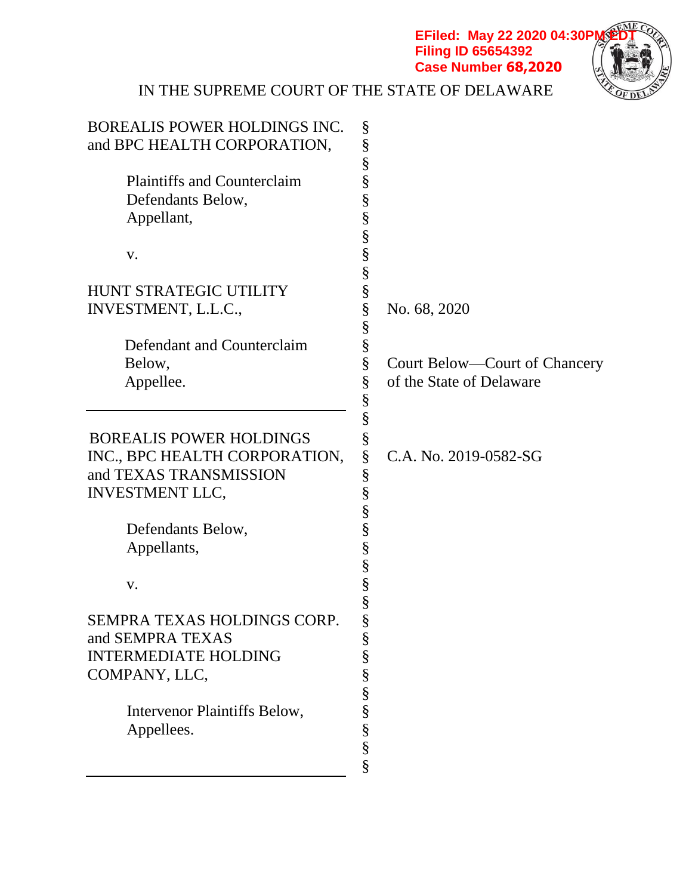**Filing ID 65654392 Case Number 68,2020**



# IN THE SUPREME COURT OF THE STATE OF DELAWARE

| BOREALIS POWER HOLDINGS INC.       | §                                  |
|------------------------------------|------------------------------------|
| and BPC HEALTH CORPORATION,        | §                                  |
|                                    | §                                  |
| <b>Plaintiffs and Counterclaim</b> | §                                  |
| Defendants Below,                  | §                                  |
| Appellant,                         | §                                  |
|                                    | §                                  |
| V.                                 | §                                  |
|                                    | §                                  |
| <b>HUNT STRATEGIC UTILITY</b>      | §                                  |
| INVESTMENT, L.L.C.,                | §<br>No. 68, 2020                  |
|                                    | §                                  |
| Defendant and Counterclaim         | §                                  |
| Below,                             | §<br>Court Below—Court of Chancery |
| Appellee.                          | §<br>of the State of Delaware      |
|                                    | §                                  |
|                                    | §                                  |
| <b>BOREALIS POWER HOLDINGS</b>     | §                                  |
| INC., BPC HEALTH CORPORATION,      | §<br>C.A. No. 2019-0582-SG         |
| and TEXAS TRANSMISSION             | §                                  |
| <b>INVESTMENT LLC,</b>             | §                                  |
|                                    | §                                  |
| Defendants Below,                  | §                                  |
| Appellants,                        | §                                  |
|                                    | §                                  |
| V.                                 | §                                  |
|                                    | §                                  |
| <b>SEMPRA TEXAS HOLDINGS CORP</b>  | \$                                 |
| and SEMPRA TEXAS                   | §                                  |
| <b>INTERMEDIATE HOLDING</b>        | §                                  |
| COMPANY, LLC,                      | §                                  |
|                                    | §                                  |
| Intervenor Plaintiffs Below,       | §                                  |
| Appellees.                         | §                                  |
|                                    | $\S$                               |
|                                    | §                                  |
|                                    |                                    |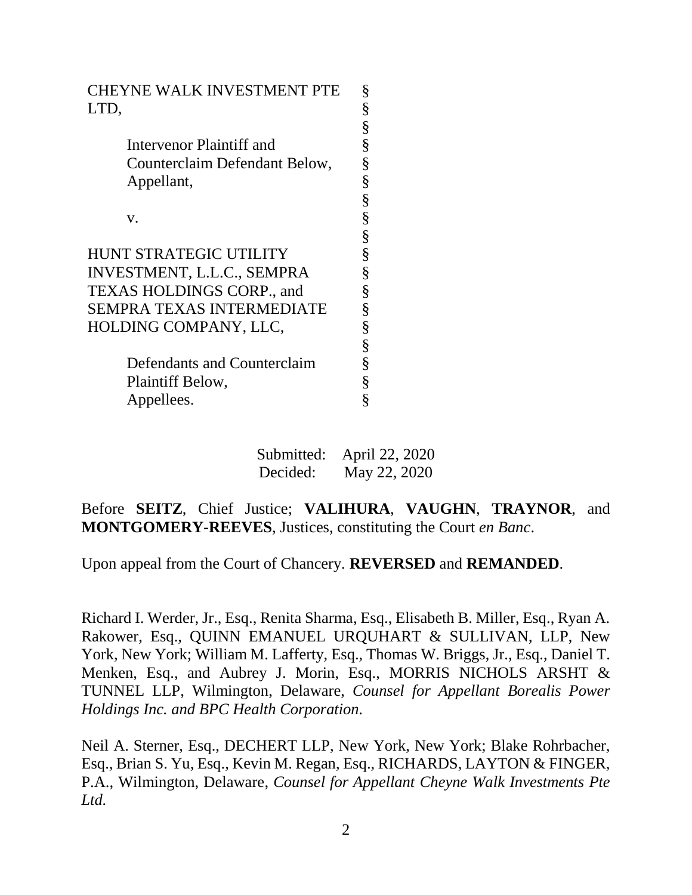| <b>CHEYNE WALK INVESTMENT PTE</b> | §                                    |
|-----------------------------------|--------------------------------------|
| LTD,                              |                                      |
|                                   | So So So So                          |
| Intervenor Plaintiff and          |                                      |
| Counterclaim Defendant Below,     |                                      |
| Appellant,                        | So So So                             |
|                                   |                                      |
| V.                                |                                      |
|                                   |                                      |
| <b>HUNT STRATEGIC UTILITY</b>     |                                      |
| INVESTMENT, L.L.C., SEMPRA        |                                      |
| TEXAS HOLDINGS CORP., and         |                                      |
| SEMPRA TEXAS INTERMEDIATE         |                                      |
| HOLDING COMPANY, LLC,             |                                      |
|                                   |                                      |
| Defendants and Counterclaim       |                                      |
| Plaintiff Below,                  |                                      |
| Appellees.                        |                                      |
|                                   | §<br>§<br>§<br>§<br>§<br>§<br>§<br>§ |

Submitted: April 22, 2020 Decided: May 22, 2020

## Before **SEITZ**, Chief Justice; **VALIHURA**, **VAUGHN**, **TRAYNOR**, and **MONTGOMERY-REEVES**, Justices, constituting the Court *en Banc*.

Upon appeal from the Court of Chancery. **REVERSED** and **REMANDED**.

Richard I. Werder, Jr., Esq., Renita Sharma, Esq., Elisabeth B. Miller, Esq., Ryan A. Rakower, Esq., QUINN EMANUEL URQUHART & SULLIVAN, LLP, New York, New York; William M. Lafferty, Esq., Thomas W. Briggs, Jr., Esq., Daniel T. Menken, Esq., and Aubrey J. Morin, Esq., MORRIS NICHOLS ARSHT & TUNNEL LLP, Wilmington, Delaware, *Counsel for Appellant Borealis Power Holdings Inc. and BPC Health Corporation.* 

Neil A. Sterner, Esq., DECHERT LLP, New York, New York; Blake Rohrbacher, Esq., Brian S. Yu, Esq., Kevin M. Regan, Esq., RICHARDS, LAYTON & FINGER, P.A., Wilmington, Delaware, *Counsel for Appellant Cheyne Walk Investments Pte Ltd.*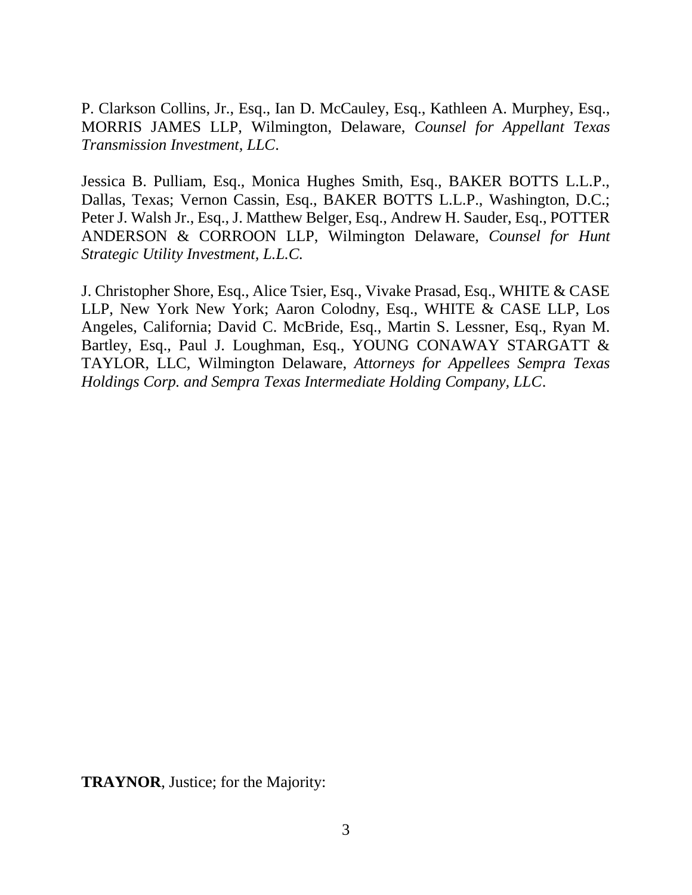P. Clarkson Collins, Jr., Esq., Ian D. McCauley, Esq., Kathleen A. Murphey, Esq., MORRIS JAMES LLP, Wilmington, Delaware, *Counsel for Appellant Texas Transmission Investment, LLC*.

Jessica B. Pulliam, Esq., Monica Hughes Smith, Esq., BAKER BOTTS L.L.P., Dallas, Texas; Vernon Cassin, Esq., BAKER BOTTS L.L.P., Washington, D.C.; Peter J. Walsh Jr., Esq., J. Matthew Belger, Esq., Andrew H. Sauder, Esq., POTTER ANDERSON & CORROON LLP, Wilmington Delaware, *Counsel for Hunt Strategic Utility Investment, L.L.C.*

J. Christopher Shore, Esq., Alice Tsier, Esq., Vivake Prasad, Esq., WHITE & CASE LLP, New York New York; Aaron Colodny, Esq., WHITE & CASE LLP, Los Angeles, California; David C. McBride, Esq., Martin S. Lessner, Esq., Ryan M. Bartley, Esq., Paul J. Loughman, Esq., YOUNG CONAWAY STARGATT & TAYLOR, LLC, Wilmington Delaware, *Attorneys for Appellees Sempra Texas Holdings Corp. and Sempra Texas Intermediate Holding Company, LLC*.

**TRAYNOR**, Justice; for the Majority: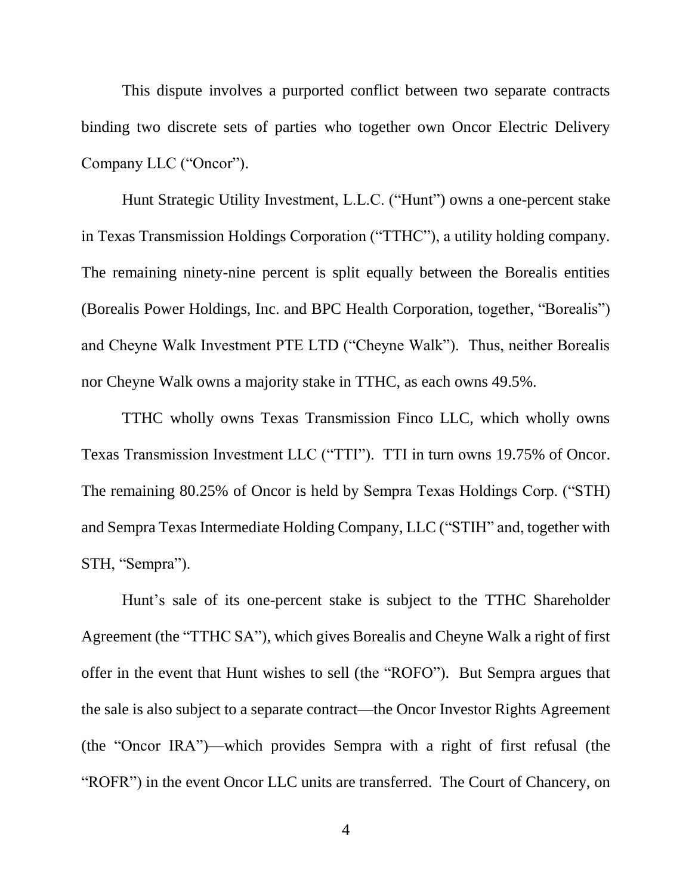This dispute involves a purported conflict between two separate contracts binding two discrete sets of parties who together own Oncor Electric Delivery Company LLC ("Oncor").

Hunt Strategic Utility Investment, L.L.C. ("Hunt") owns a one-percent stake in Texas Transmission Holdings Corporation ("TTHC"), a utility holding company. The remaining ninety-nine percent is split equally between the Borealis entities (Borealis Power Holdings, Inc. and BPC Health Corporation, together, "Borealis") and Cheyne Walk Investment PTE LTD ("Cheyne Walk"). Thus, neither Borealis nor Cheyne Walk owns a majority stake in TTHC, as each owns 49.5%.

TTHC wholly owns Texas Transmission Finco LLC, which wholly owns Texas Transmission Investment LLC ("TTI"). TTI in turn owns 19.75% of Oncor. The remaining 80.25% of Oncor is held by Sempra Texas Holdings Corp. ("STH) and Sempra Texas Intermediate Holding Company, LLC ("STIH" and, together with STH, "Sempra").

Hunt's sale of its one-percent stake is subject to the TTHC Shareholder Agreement (the "TTHC SA"), which gives Borealis and Cheyne Walk a right of first offer in the event that Hunt wishes to sell (the "ROFO"). But Sempra argues that the sale is also subject to a separate contract—the Oncor Investor Rights Agreement (the "Oncor IRA")—which provides Sempra with a right of first refusal (the "ROFR") in the event Oncor LLC units are transferred. The Court of Chancery, on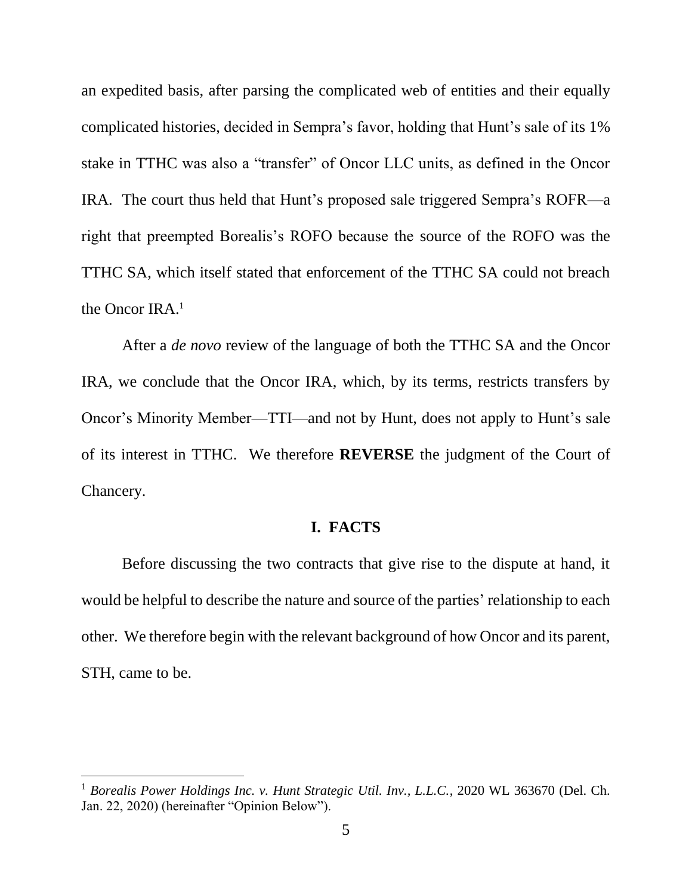an expedited basis, after parsing the complicated web of entities and their equally complicated histories, decided in Sempra's favor, holding that Hunt's sale of its 1% stake in TTHC was also a "transfer" of Oncor LLC units, as defined in the Oncor IRA. The court thus held that Hunt's proposed sale triggered Sempra's ROFR—a right that preempted Borealis's ROFO because the source of the ROFO was the TTHC SA, which itself stated that enforcement of the TTHC SA could not breach the Oncor IRA.<sup>1</sup>

After a *de novo* review of the language of both the TTHC SA and the Oncor IRA, we conclude that the Oncor IRA, which, by its terms, restricts transfers by Oncor's Minority Member—TTI—and not by Hunt, does not apply to Hunt's sale of its interest in TTHC. We therefore **REVERSE** the judgment of the Court of Chancery.

## **I. FACTS**

Before discussing the two contracts that give rise to the dispute at hand, it would be helpful to describe the nature and source of the parties' relationship to each other. We therefore begin with the relevant background of how Oncor and its parent, STH, came to be.

<sup>1</sup> *Borealis Power Holdings Inc. v. Hunt Strategic Util. Inv., L.L.C.*, 2020 WL 363670 (Del. Ch. Jan. 22, 2020) (hereinafter "Opinion Below").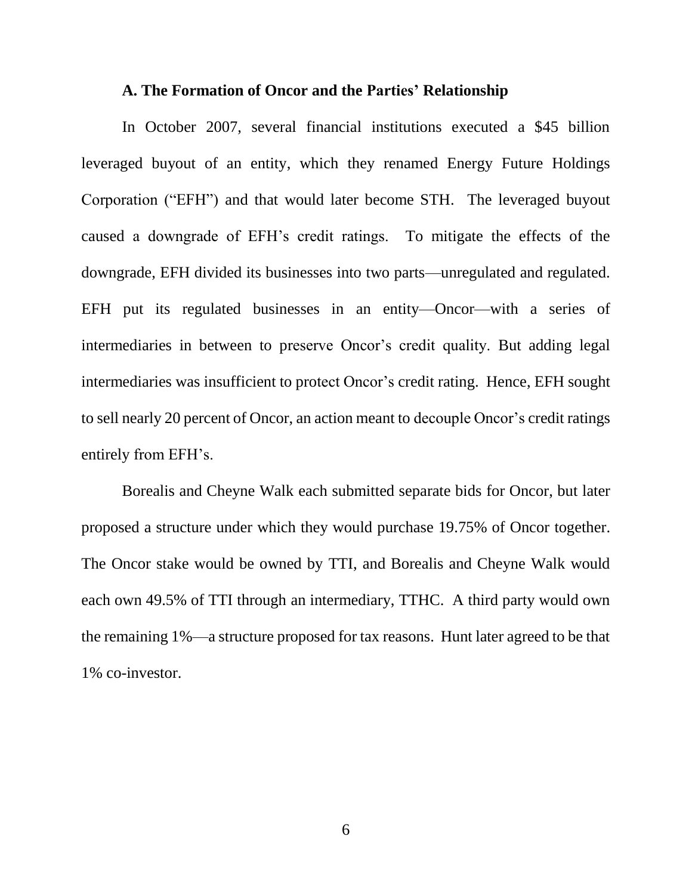#### **A. The Formation of Oncor and the Parties' Relationship**

In October 2007, several financial institutions executed a \$45 billion leveraged buyout of an entity, which they renamed Energy Future Holdings Corporation ("EFH") and that would later become STH. The leveraged buyout caused a downgrade of EFH's credit ratings. To mitigate the effects of the downgrade, EFH divided its businesses into two parts—unregulated and regulated. EFH put its regulated businesses in an entity—Oncor—with a series of intermediaries in between to preserve Oncor's credit quality. But adding legal intermediaries was insufficient to protect Oncor's credit rating. Hence, EFH sought to sell nearly 20 percent of Oncor, an action meant to decouple Oncor's credit ratings entirely from EFH's.

Borealis and Cheyne Walk each submitted separate bids for Oncor, but later proposed a structure under which they would purchase 19.75% of Oncor together. The Oncor stake would be owned by TTI, and Borealis and Cheyne Walk would each own 49.5% of TTI through an intermediary, TTHC. A third party would own the remaining 1%—a structure proposed for tax reasons. Hunt later agreed to be that 1% co-investor.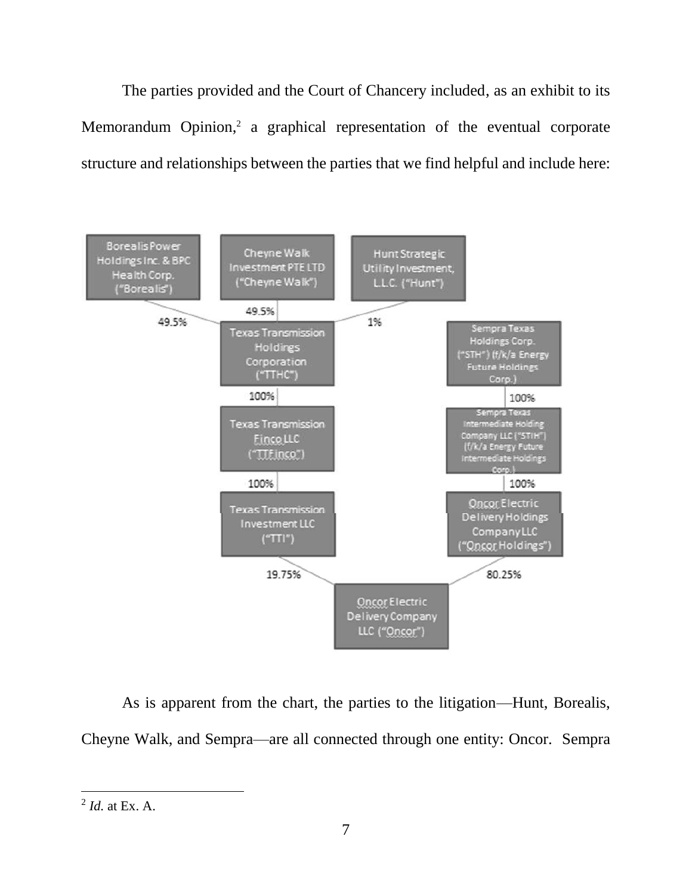The parties provided and the Court of Chancery included, as an exhibit to its Memorandum Opinion,<sup>2</sup> a graphical representation of the eventual corporate structure and relationships between the parties that we find helpful and include here:



As is apparent from the chart, the parties to the litigation—Hunt, Borealis, Cheyne Walk, and Sempra—are all connected through one entity: Oncor. Sempra

<sup>2</sup> *Id.* at Ex. A.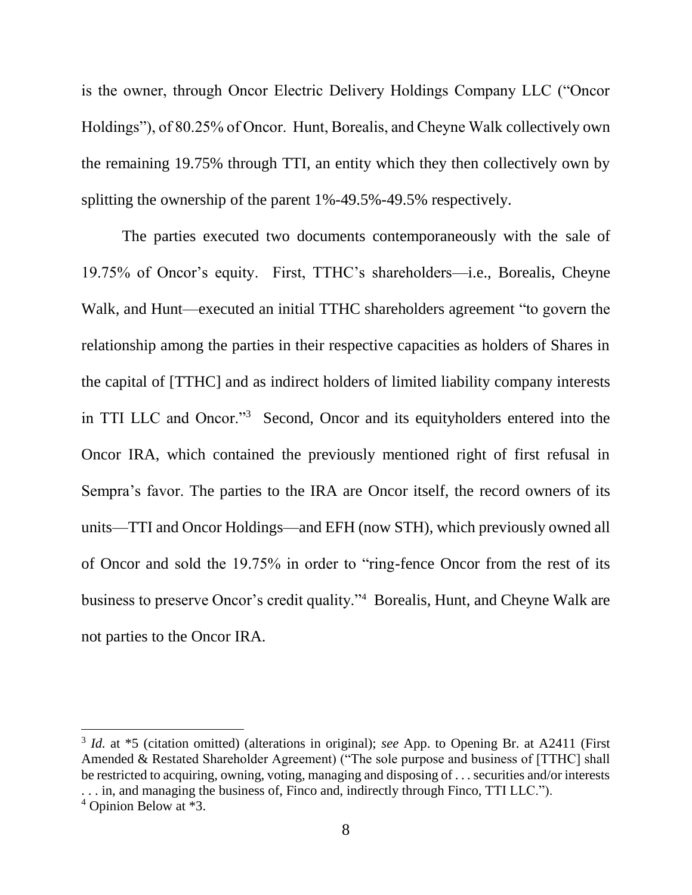is the owner, through Oncor Electric Delivery Holdings Company LLC ("Oncor Holdings"), of 80.25% of Oncor. Hunt, Borealis, and Cheyne Walk collectively own the remaining 19.75% through TTI, an entity which they then collectively own by splitting the ownership of the parent 1%-49.5%-49.5% respectively.

The parties executed two documents contemporaneously with the sale of 19.75% of Oncor's equity. First, TTHC's shareholders—i.e., Borealis, Cheyne Walk, and Hunt—executed an initial TTHC shareholders agreement "to govern the relationship among the parties in their respective capacities as holders of Shares in the capital of [TTHC] and as indirect holders of limited liability company interests in TTI LLC and Oncor."<sup>3</sup> Second, Oncor and its equityholders entered into the Oncor IRA, which contained the previously mentioned right of first refusal in Sempra's favor. The parties to the IRA are Oncor itself, the record owners of its units—TTI and Oncor Holdings—and EFH (now STH), which previously owned all of Oncor and sold the 19.75% in order to "ring-fence Oncor from the rest of its business to preserve Oncor's credit quality."<sup>4</sup> Borealis, Hunt, and Cheyne Walk are not parties to the Oncor IRA.

<sup>3</sup> *Id.* at \*5 (citation omitted) (alterations in original); *see* App. to Opening Br. at A2411 (First Amended & Restated Shareholder Agreement) ("The sole purpose and business of [TTHC] shall be restricted to acquiring, owning, voting, managing and disposing of . . . securities and/or interests . . . in, and managing the business of, Finco and, indirectly through Finco, TTI LLC.").

<sup>4</sup> Opinion Below at \*3.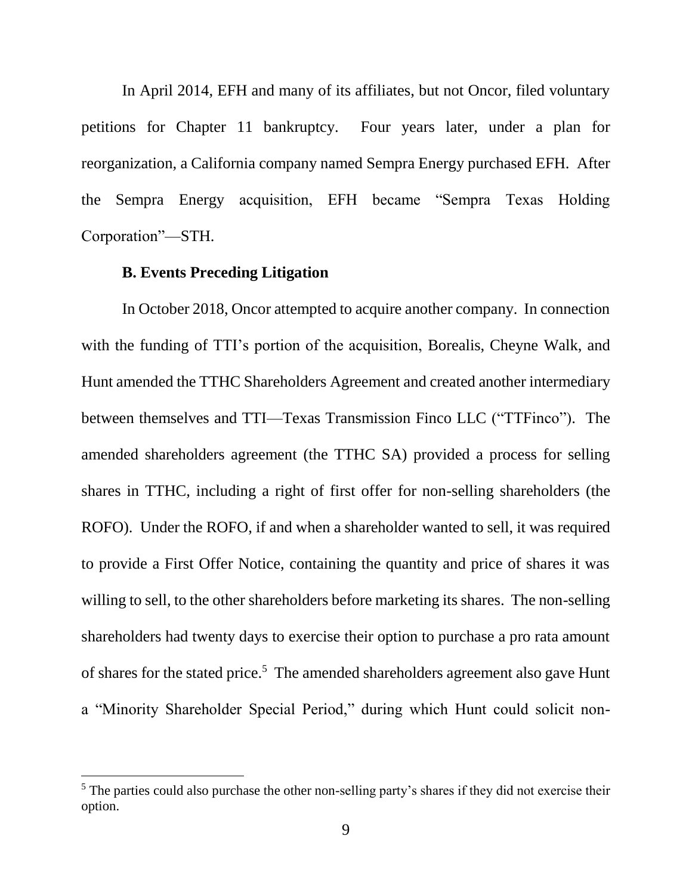In April 2014, EFH and many of its affiliates, but not Oncor, filed voluntary petitions for Chapter 11 bankruptcy. Four years later, under a plan for reorganization, a California company named Sempra Energy purchased EFH. After the Sempra Energy acquisition, EFH became "Sempra Texas Holding Corporation"—STH.

#### **B. Events Preceding Litigation**

 $\overline{a}$ 

In October 2018, Oncor attempted to acquire another company. In connection with the funding of TTI's portion of the acquisition, Borealis, Cheyne Walk, and Hunt amended the TTHC Shareholders Agreement and created another intermediary between themselves and TTI—Texas Transmission Finco LLC ("TTFinco"). The amended shareholders agreement (the TTHC SA) provided a process for selling shares in TTHC, including a right of first offer for non-selling shareholders (the ROFO). Under the ROFO, if and when a shareholder wanted to sell, it was required to provide a First Offer Notice, containing the quantity and price of shares it was willing to sell, to the other shareholders before marketing its shares. The non-selling shareholders had twenty days to exercise their option to purchase a pro rata amount of shares for the stated price.<sup>5</sup> The amended shareholders agreement also gave Hunt a "Minority Shareholder Special Period," during which Hunt could solicit non-

<sup>&</sup>lt;sup>5</sup> The parties could also purchase the other non-selling party's shares if they did not exercise their option.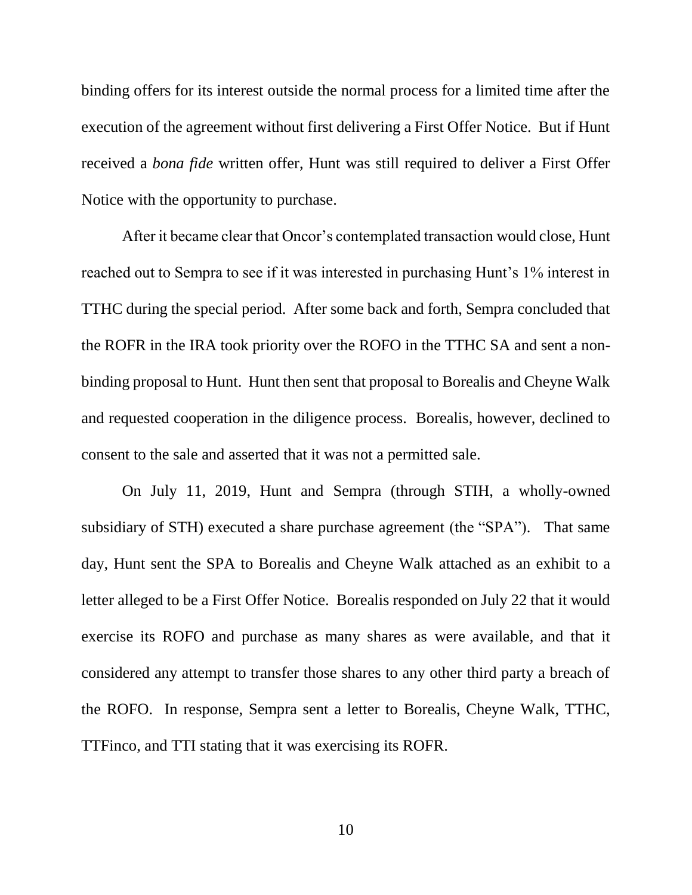binding offers for its interest outside the normal process for a limited time after the execution of the agreement without first delivering a First Offer Notice. But if Hunt received a *bona fide* written offer, Hunt was still required to deliver a First Offer Notice with the opportunity to purchase.

After it became clear that Oncor's contemplated transaction would close, Hunt reached out to Sempra to see if it was interested in purchasing Hunt's 1% interest in TTHC during the special period. After some back and forth, Sempra concluded that the ROFR in the IRA took priority over the ROFO in the TTHC SA and sent a nonbinding proposal to Hunt. Hunt then sent that proposal to Borealis and Cheyne Walk and requested cooperation in the diligence process. Borealis, however, declined to consent to the sale and asserted that it was not a permitted sale.

On July 11, 2019, Hunt and Sempra (through STIH, a wholly-owned subsidiary of STH) executed a share purchase agreement (the "SPA"). That same day, Hunt sent the SPA to Borealis and Cheyne Walk attached as an exhibit to a letter alleged to be a First Offer Notice. Borealis responded on July 22 that it would exercise its ROFO and purchase as many shares as were available, and that it considered any attempt to transfer those shares to any other third party a breach of the ROFO. In response, Sempra sent a letter to Borealis, Cheyne Walk, TTHC, TTFinco, and TTI stating that it was exercising its ROFR.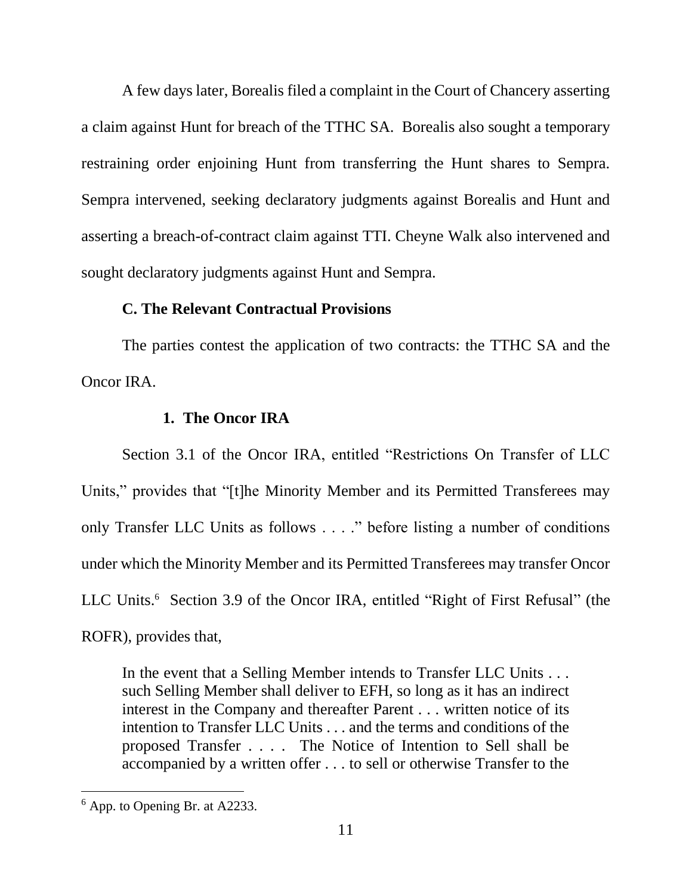A few days later, Borealis filed a complaint in the Court of Chancery asserting a claim against Hunt for breach of the TTHC SA. Borealis also sought a temporary restraining order enjoining Hunt from transferring the Hunt shares to Sempra. Sempra intervened, seeking declaratory judgments against Borealis and Hunt and asserting a breach-of-contract claim against TTI. Cheyne Walk also intervened and sought declaratory judgments against Hunt and Sempra.

### **C. The Relevant Contractual Provisions**

The parties contest the application of two contracts: the TTHC SA and the Oncor IRA.

### **1. The Oncor IRA**

Section 3.1 of the Oncor IRA, entitled "Restrictions On Transfer of LLC Units," provides that "[t]he Minority Member and its Permitted Transferees may only Transfer LLC Units as follows . . . ." before listing a number of conditions under which the Minority Member and its Permitted Transferees may transfer Oncor LLC Units.<sup>6</sup> Section 3.9 of the Oncor IRA, entitled "Right of First Refusal" (the ROFR), provides that,

In the event that a Selling Member intends to Transfer LLC Units . . . such Selling Member shall deliver to EFH, so long as it has an indirect interest in the Company and thereafter Parent . . . written notice of its intention to Transfer LLC Units . . . and the terms and conditions of the proposed Transfer . . . . The Notice of Intention to Sell shall be accompanied by a written offer . . . to sell or otherwise Transfer to the

 $<sup>6</sup>$  App. to Opening Br. at A2233.</sup>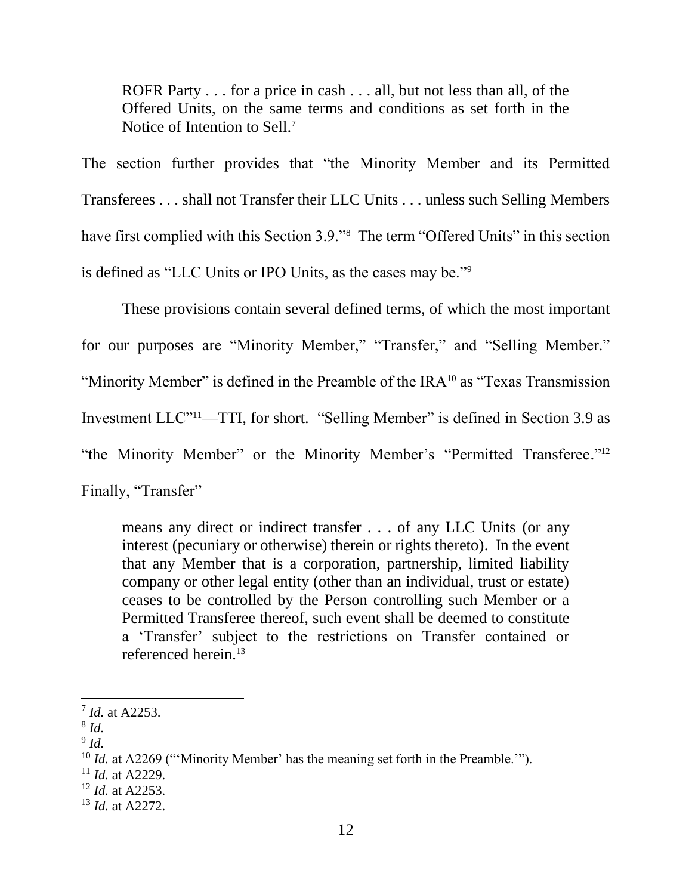ROFR Party . . . for a price in cash . . . all, but not less than all, of the Offered Units, on the same terms and conditions as set forth in the Notice of Intention to Sell.<sup>7</sup>

The section further provides that "the Minority Member and its Permitted Transferees . . . shall not Transfer their LLC Units . . . unless such Selling Members have first complied with this Section 3.9." The term "Offered Units" in this section is defined as "LLC Units or IPO Units, as the cases may be."<sup>9</sup>

These provisions contain several defined terms, of which the most important for our purposes are "Minority Member," "Transfer," and "Selling Member." "Minority Member" is defined in the Preamble of the IRA<sup>10</sup> as "Texas Transmission" Investment LLC"11—TTI, for short. "Selling Member" is defined in Section 3.9 as "the Minority Member" or the Minority Member's "Permitted Transferee."<sup>12</sup> Finally, "Transfer"

means any direct or indirect transfer . . . of any LLC Units (or any interest (pecuniary or otherwise) therein or rights thereto). In the event that any Member that is a corporation, partnership, limited liability company or other legal entity (other than an individual, trust or estate) ceases to be controlled by the Person controlling such Member or a Permitted Transferee thereof, such event shall be deemed to constitute a 'Transfer' subject to the restrictions on Transfer contained or referenced herein.<sup>13</sup>

<sup>7</sup> *Id.* at A2253.

<sup>8</sup> *Id.*

<sup>9</sup> *Id.* 

<sup>&</sup>lt;sup>10</sup> *Id.* at A2269 ("'Minority Member' has the meaning set forth in the Preamble."").

<sup>11</sup> *Id.* at A2229.

<sup>12</sup> *Id.* at A2253.

<sup>13</sup> *Id.* at A2272.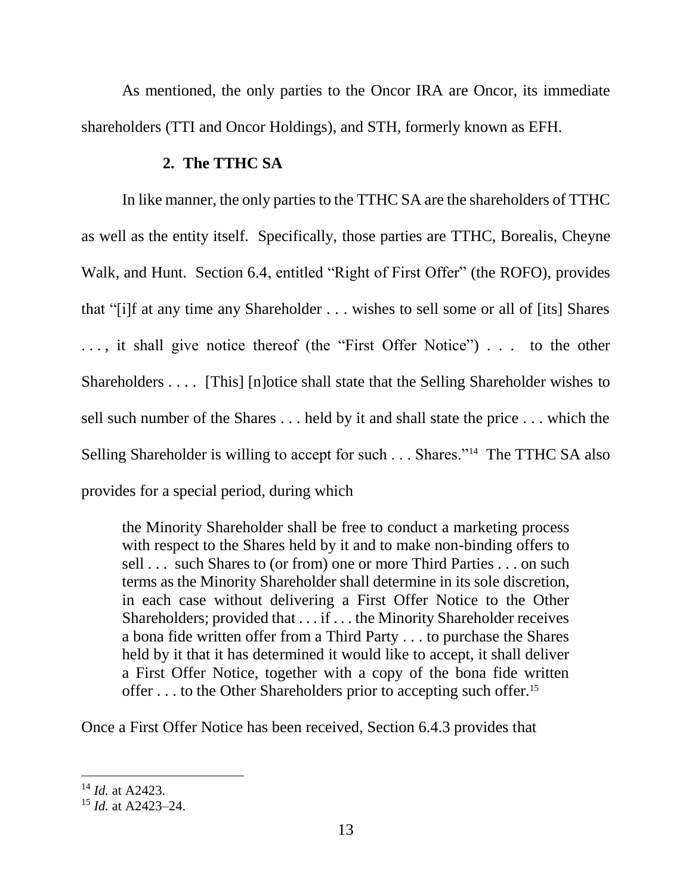As mentioned, the only parties to the Oncor IRA are Oncor, its immediate shareholders (TTI and Oncor Holdings), and STH, formerly known as EFH.

## **2. The TTHC SA**

In like manner, the only parties to the TTHC SA are the shareholders of TTHC as well as the entity itself. Specifically, those parties are TTHC, Borealis, Cheyne Walk, and Hunt. Section 6.4, entitled "Right of First Offer" (the ROFO), provides that "[i]f at any time any Shareholder . . . wishes to sell some or all of [its] Shares ..., it shall give notice thereof (the "First Offer Notice") ... to the other Shareholders . . . . [This] [n]otice shall state that the Selling Shareholder wishes to sell such number of the Shares . . . held by it and shall state the price . . . which the Selling Shareholder is willing to accept for such . . . Shares."<sup>14</sup> The TTHC SA also provides for a special period, during which

the Minority Shareholder shall be free to conduct a marketing process with respect to the Shares held by it and to make non-binding offers to sell . . . such Shares to (or from) one or more Third Parties . . . on such terms as the Minority Shareholder shall determine in its sole discretion, in each case without delivering a First Offer Notice to the Other Shareholders; provided that . . . if . . . the Minority Shareholder receives a bona fide written offer from a Third Party . . . to purchase the Shares held by it that it has determined it would like to accept, it shall deliver a First Offer Notice, together with a copy of the bona fide written offer . . . to the Other Shareholders prior to accepting such offer.<sup>15</sup>

Once a First Offer Notice has been received, Section 6.4.3 provides that

<sup>14</sup> *Id.* at A2423.

<sup>15</sup> *Id.* at A2423–24.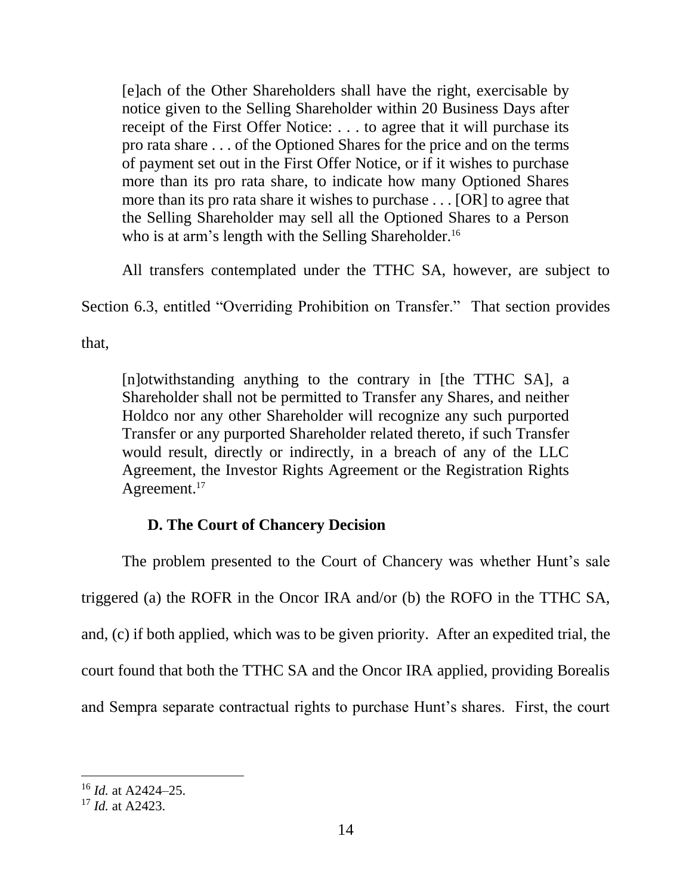[e]ach of the Other Shareholders shall have the right, exercisable by notice given to the Selling Shareholder within 20 Business Days after receipt of the First Offer Notice: . . . to agree that it will purchase its pro rata share . . . of the Optioned Shares for the price and on the terms of payment set out in the First Offer Notice, or if it wishes to purchase more than its pro rata share, to indicate how many Optioned Shares more than its pro rata share it wishes to purchase . . . [OR] to agree that the Selling Shareholder may sell all the Optioned Shares to a Person who is at arm's length with the Selling Shareholder.<sup>16</sup>

All transfers contemplated under the TTHC SA, however, are subject to

Section 6.3, entitled "Overriding Prohibition on Transfer." That section provides

that,

[n]otwithstanding anything to the contrary in [the TTHC SA], a Shareholder shall not be permitted to Transfer any Shares, and neither Holdco nor any other Shareholder will recognize any such purported Transfer or any purported Shareholder related thereto, if such Transfer would result, directly or indirectly, in a breach of any of the LLC Agreement, the Investor Rights Agreement or the Registration Rights Agreement.<sup>17</sup>

## **D. The Court of Chancery Decision**

The problem presented to the Court of Chancery was whether Hunt's sale triggered (a) the ROFR in the Oncor IRA and/or (b) the ROFO in the TTHC SA, and, (c) if both applied, which was to be given priority. After an expedited trial, the court found that both the TTHC SA and the Oncor IRA applied, providing Borealis and Sempra separate contractual rights to purchase Hunt's shares. First, the court

<sup>16</sup> *Id.* at A2424–25.

<sup>17</sup> *Id.* at A2423.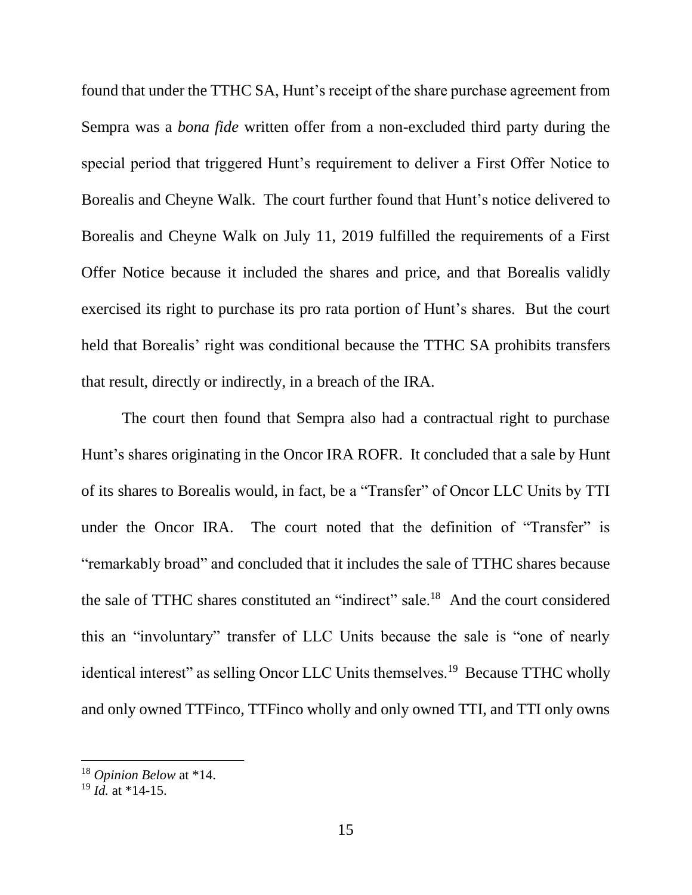found that under the TTHC SA, Hunt's receipt of the share purchase agreement from Sempra was a *bona fide* written offer from a non-excluded third party during the special period that triggered Hunt's requirement to deliver a First Offer Notice to Borealis and Cheyne Walk. The court further found that Hunt's notice delivered to Borealis and Cheyne Walk on July 11, 2019 fulfilled the requirements of a First Offer Notice because it included the shares and price, and that Borealis validly exercised its right to purchase its pro rata portion of Hunt's shares. But the court held that Borealis' right was conditional because the TTHC SA prohibits transfers that result, directly or indirectly, in a breach of the IRA.

The court then found that Sempra also had a contractual right to purchase Hunt's shares originating in the Oncor IRA ROFR. It concluded that a sale by Hunt of its shares to Borealis would, in fact, be a "Transfer" of Oncor LLC Units by TTI under the Oncor IRA. The court noted that the definition of "Transfer" is "remarkably broad" and concluded that it includes the sale of TTHC shares because the sale of TTHC shares constituted an "indirect" sale.<sup>18</sup> And the court considered this an "involuntary" transfer of LLC Units because the sale is "one of nearly identical interest" as selling Oncor LLC Units themselves.<sup>19</sup> Because TTHC wholly and only owned TTFinco, TTFinco wholly and only owned TTI, and TTI only owns

<sup>18</sup> *Opinion Below* at \*14.

 $^{19}$  *Id.* at \*14-15.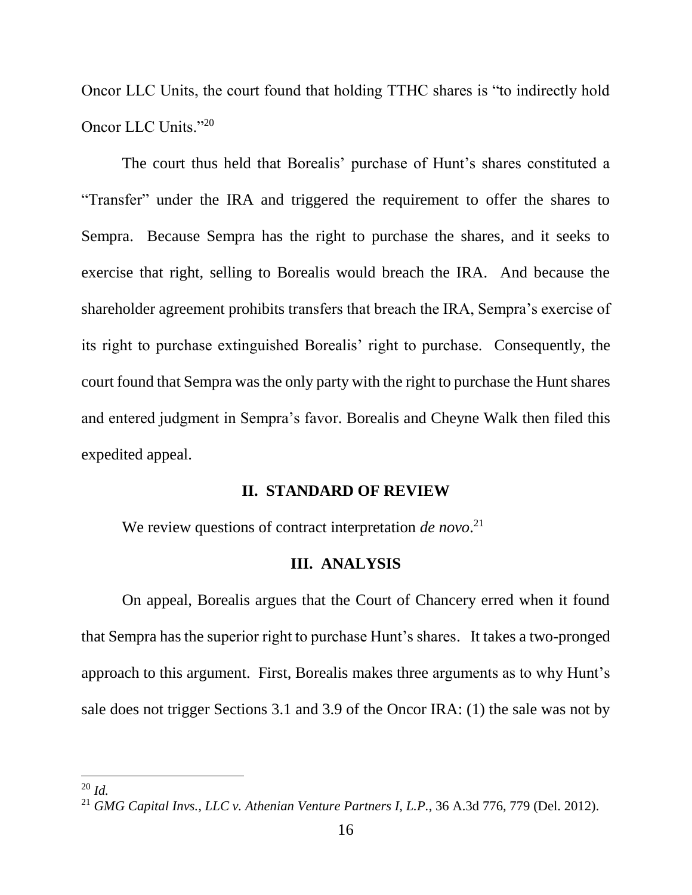Oncor LLC Units, the court found that holding TTHC shares is "to indirectly hold Oncor LLC Units."20

The court thus held that Borealis' purchase of Hunt's shares constituted a "Transfer" under the IRA and triggered the requirement to offer the shares to Sempra. Because Sempra has the right to purchase the shares, and it seeks to exercise that right, selling to Borealis would breach the IRA. And because the shareholder agreement prohibits transfers that breach the IRA, Sempra's exercise of its right to purchase extinguished Borealis' right to purchase. Consequently, the court found that Sempra was the only party with the right to purchase the Hunt shares and entered judgment in Sempra's favor. Borealis and Cheyne Walk then filed this expedited appeal.

### **II. STANDARD OF REVIEW**

We review questions of contract interpretation *de novo*.<sup>21</sup>

### **III. ANALYSIS**

On appeal, Borealis argues that the Court of Chancery erred when it found that Sempra has the superior right to purchase Hunt's shares. It takes a two-pronged approach to this argument. First, Borealis makes three arguments as to why Hunt's sale does not trigger Sections 3.1 and 3.9 of the Oncor IRA: (1) the sale was not by

<sup>20</sup> *Id.*

<sup>21</sup> *GMG Capital Invs., LLC v. Athenian Venture Partners I, L.P.*, 36 A.3d 776, 779 (Del. 2012).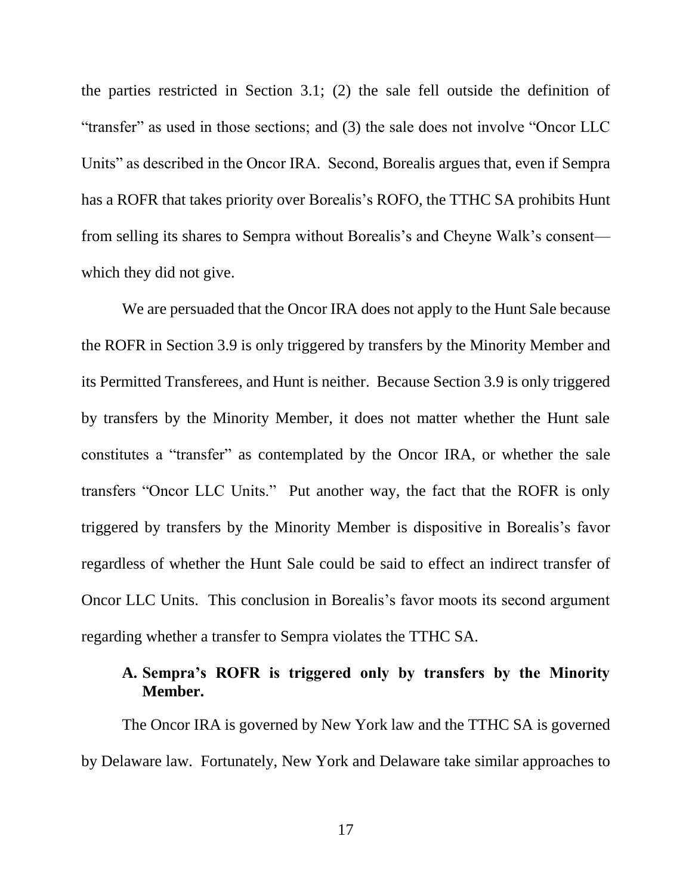the parties restricted in Section 3.1; (2) the sale fell outside the definition of "transfer" as used in those sections; and (3) the sale does not involve "Oncor LLC Units" as described in the Oncor IRA. Second, Borealis argues that, even if Sempra has a ROFR that takes priority over Borealis's ROFO, the TTHC SA prohibits Hunt from selling its shares to Sempra without Borealis's and Cheyne Walk's consent which they did not give.

We are persuaded that the Oncor IRA does not apply to the Hunt Sale because the ROFR in Section 3.9 is only triggered by transfers by the Minority Member and its Permitted Transferees, and Hunt is neither. Because Section 3.9 is only triggered by transfers by the Minority Member, it does not matter whether the Hunt sale constitutes a "transfer" as contemplated by the Oncor IRA, or whether the sale transfers "Oncor LLC Units." Put another way, the fact that the ROFR is only triggered by transfers by the Minority Member is dispositive in Borealis's favor regardless of whether the Hunt Sale could be said to effect an indirect transfer of Oncor LLC Units. This conclusion in Borealis's favor moots its second argument regarding whether a transfer to Sempra violates the TTHC SA.

# **A. Sempra's ROFR is triggered only by transfers by the Minority Member.**

The Oncor IRA is governed by New York law and the TTHC SA is governed by Delaware law. Fortunately, New York and Delaware take similar approaches to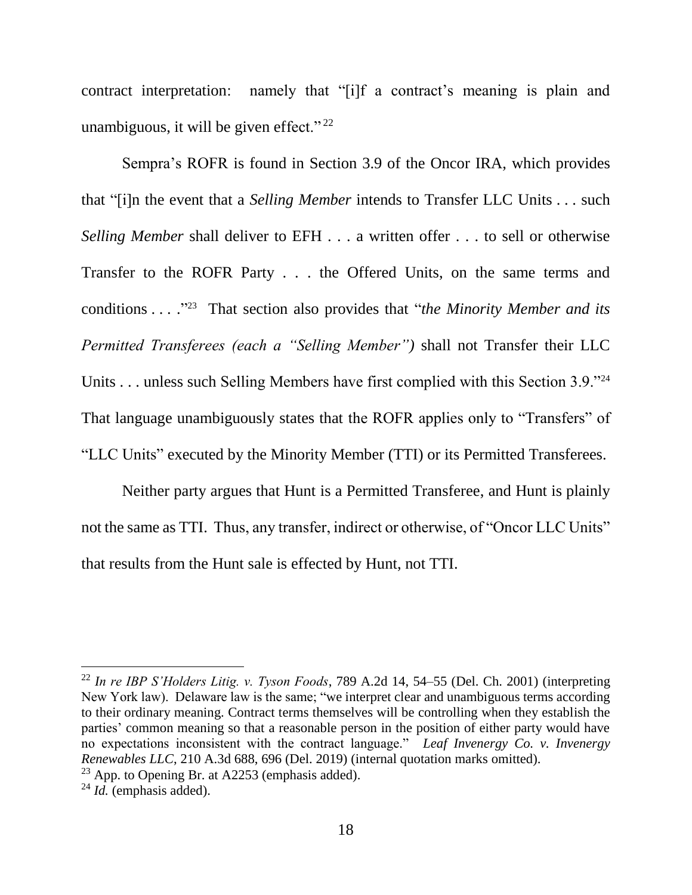contract interpretation: namely that "[i]f a contract's meaning is plain and unambiguous, it will be given effect." $^{22}$ 

Sempra's ROFR is found in Section 3.9 of the Oncor IRA, which provides that "[i]n the event that a *Selling Member* intends to Transfer LLC Units . . . such *Selling Member shall deliver to EFH ... a written offer ... to sell or otherwise* Transfer to the ROFR Party . . . the Offered Units, on the same terms and conditions . . . ." 23 That section also provides that "*the Minority Member and its Permitted Transferees (each a "Selling Member")* shall not Transfer their LLC Units . . . unless such Selling Members have first complied with this Section 3.9."<sup>24</sup> That language unambiguously states that the ROFR applies only to "Transfers" of "LLC Units" executed by the Minority Member (TTI) or its Permitted Transferees.

Neither party argues that Hunt is a Permitted Transferee, and Hunt is plainly not the same as TTI. Thus, any transfer, indirect or otherwise, of "Oncor LLC Units" that results from the Hunt sale is effected by Hunt, not TTI.

<sup>22</sup> *In re IBP S'Holders Litig. v. Tyson Foods*, 789 A.2d 14, 54–55 (Del. Ch. 2001) (interpreting New York law). Delaware law is the same; "we interpret clear and unambiguous terms according to their ordinary meaning. Contract terms themselves will be controlling when they establish the parties' common meaning so that a reasonable person in the position of either party would have no expectations inconsistent with the contract language." *Leaf Invenergy Co. v. Invenergy Renewables LLC*, 210 A.3d 688, 696 (Del. 2019) (internal quotation marks omitted).

 $23$  App. to Opening Br. at A2253 (emphasis added).

<sup>24</sup> *Id.* (emphasis added).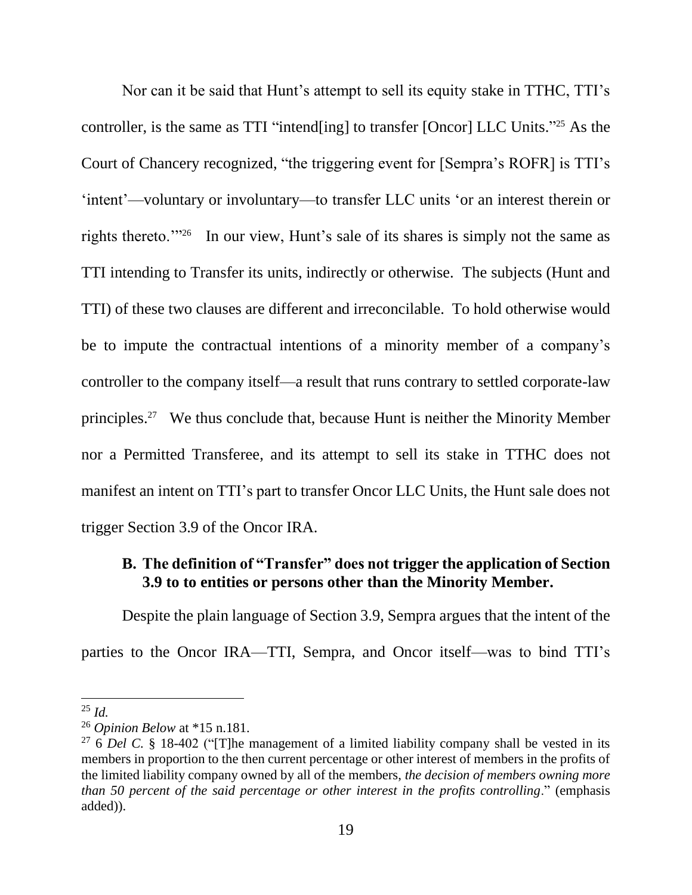Nor can it be said that Hunt's attempt to sell its equity stake in TTHC, TTI's controller, is the same as TTI "intend[ing] to transfer [Oncor] LLC Units." <sup>25</sup> As the Court of Chancery recognized, "the triggering event for [Sempra's ROFR] is TTI's 'intent'—voluntary or involuntary—to transfer LLC units 'or an interest therein or rights thereto."<sup>26</sup> In our view, Hunt's sale of its shares is simply not the same as TTI intending to Transfer its units, indirectly or otherwise. The subjects (Hunt and TTI) of these two clauses are different and irreconcilable. To hold otherwise would be to impute the contractual intentions of a minority member of a company's controller to the company itself—a result that runs contrary to settled corporate-law principles. 27 We thus conclude that, because Hunt is neither the Minority Member nor a Permitted Transferee, and its attempt to sell its stake in TTHC does not manifest an intent on TTI's part to transfer Oncor LLC Units, the Hunt sale does not trigger Section 3.9 of the Oncor IRA.

# **B. The definition of "Transfer" does not trigger the application of Section 3.9 to to entities or persons other than the Minority Member.**

Despite the plain language of Section 3.9, Sempra argues that the intent of the parties to the Oncor IRA—TTI, Sempra, and Oncor itself—was to bind TTI's

<sup>25</sup> *Id.*

<sup>26</sup> *Opinion Below* at \*15 n.181.

<sup>27</sup> 6 *Del C.* § 18-402 ("[T]he management of a limited liability company shall be vested in its members in proportion to the then current percentage or other interest of members in the profits of the limited liability company owned by all of the members, *the decision of members owning more than 50 percent of the said percentage or other interest in the profits controlling*." (emphasis added)).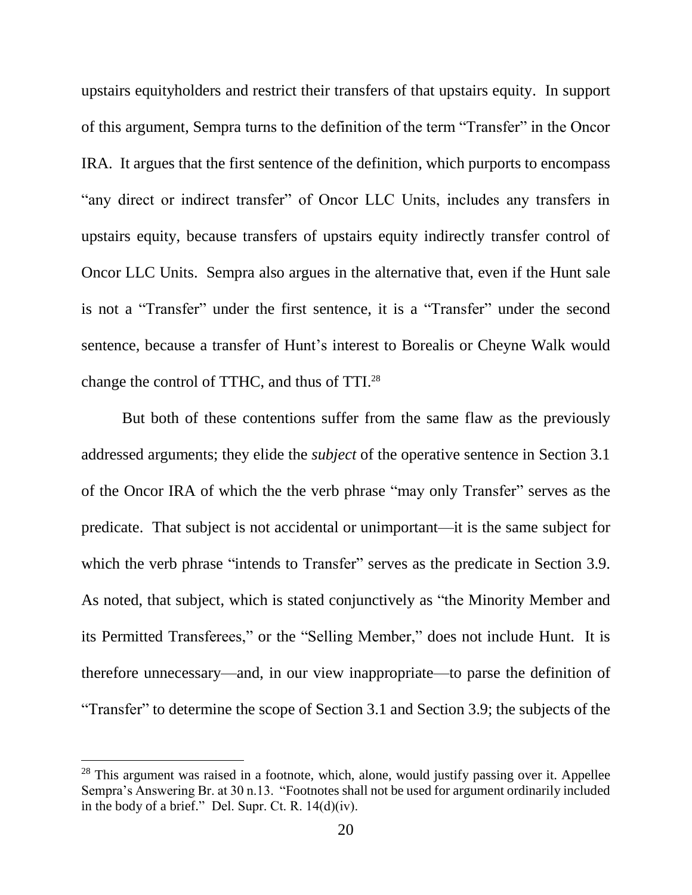upstairs equityholders and restrict their transfers of that upstairs equity. In support of this argument, Sempra turns to the definition of the term "Transfer" in the Oncor IRA. It argues that the first sentence of the definition, which purports to encompass "any direct or indirect transfer" of Oncor LLC Units, includes any transfers in upstairs equity, because transfers of upstairs equity indirectly transfer control of Oncor LLC Units. Sempra also argues in the alternative that, even if the Hunt sale is not a "Transfer" under the first sentence, it is a "Transfer" under the second sentence, because a transfer of Hunt's interest to Borealis or Cheyne Walk would change the control of TTHC, and thus of TTI.<sup>28</sup>

But both of these contentions suffer from the same flaw as the previously addressed arguments; they elide the *subject* of the operative sentence in Section 3.1 of the Oncor IRA of which the the verb phrase "may only Transfer" serves as the predicate. That subject is not accidental or unimportant—it is the same subject for which the verb phrase "intends to Transfer" serves as the predicate in Section 3.9. As noted, that subject, which is stated conjunctively as "the Minority Member and its Permitted Transferees," or the "Selling Member," does not include Hunt. It is therefore unnecessary—and, in our view inappropriate—to parse the definition of "Transfer" to determine the scope of Section 3.1 and Section 3.9; the subjects of the

 $28$  This argument was raised in a footnote, which, alone, would justify passing over it. Appellee Sempra's Answering Br. at 30 n.13. "Footnotes shall not be used for argument ordinarily included in the body of a brief." Del. Supr. Ct. R. 14(d)(iv).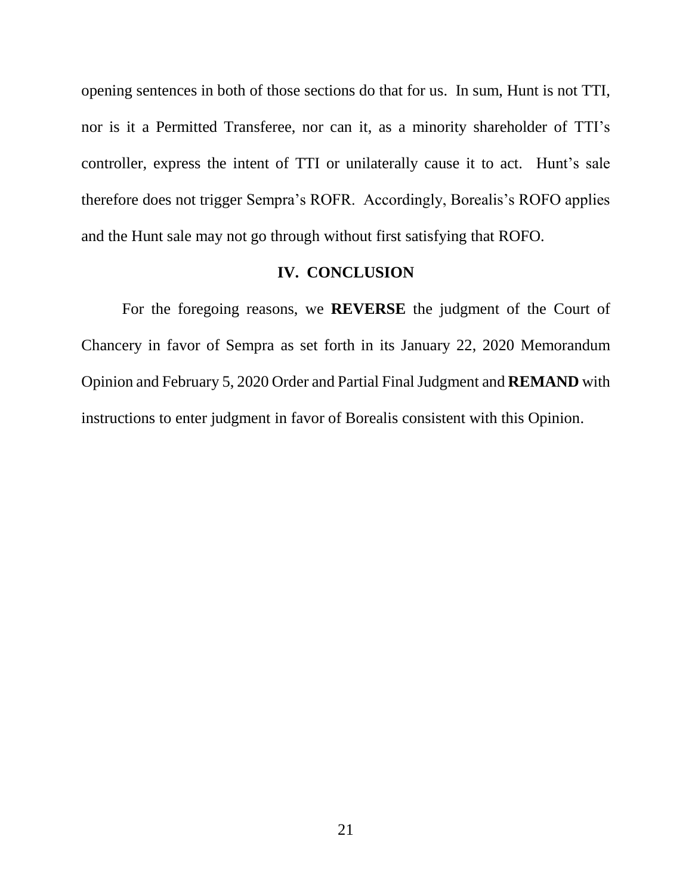opening sentences in both of those sections do that for us. In sum, Hunt is not TTI, nor is it a Permitted Transferee, nor can it, as a minority shareholder of TTI's controller, express the intent of TTI or unilaterally cause it to act. Hunt's sale therefore does not trigger Sempra's ROFR. Accordingly, Borealis's ROFO applies and the Hunt sale may not go through without first satisfying that ROFO.

#### **IV. CONCLUSION**

For the foregoing reasons, we **REVERSE** the judgment of the Court of Chancery in favor of Sempra as set forth in its January 22, 2020 Memorandum Opinion and February 5, 2020 Order and Partial Final Judgment and **REMAND** with instructions to enter judgment in favor of Borealis consistent with this Opinion.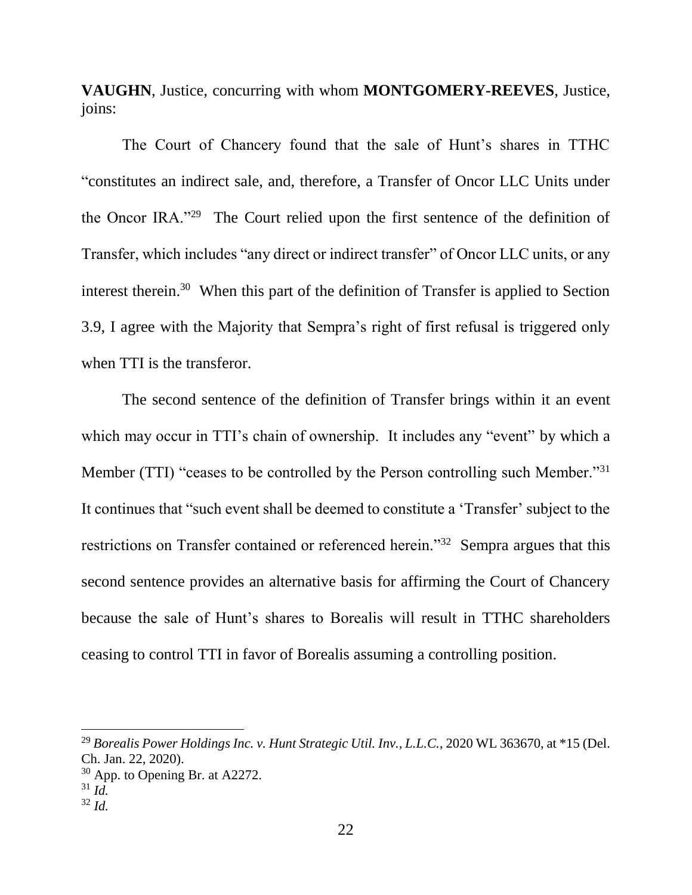**VAUGHN**, Justice, concurring with whom **MONTGOMERY-REEVES**, Justice, joins:

The Court of Chancery found that the sale of Hunt's shares in TTHC "constitutes an indirect sale, and, therefore, a Transfer of Oncor LLC Units under the Oncor IRA."<sup>29</sup> The Court relied upon the first sentence of the definition of Transfer, which includes "any direct or indirect transfer" of Oncor LLC units, or any interest therein.<sup>30</sup> When this part of the definition of Transfer is applied to Section 3.9, I agree with the Majority that Sempra's right of first refusal is triggered only when TTI is the transferor.

The second sentence of the definition of Transfer brings within it an event which may occur in TTI's chain of ownership. It includes any "event" by which a Member (TTI) "ceases to be controlled by the Person controlling such Member."<sup>31</sup> It continues that "such event shall be deemed to constitute a 'Transfer' subject to the restrictions on Transfer contained or referenced herein."<sup>32</sup> Sempra argues that this second sentence provides an alternative basis for affirming the Court of Chancery because the sale of Hunt's shares to Borealis will result in TTHC shareholders ceasing to control TTI in favor of Borealis assuming a controlling position.

<sup>29</sup> *Borealis Power Holdings Inc. v. Hunt Strategic Util. Inv., L.L.C.*, 2020 WL 363670, at \*15 (Del. Ch. Jan. 22, 2020).

 $30$  App. to Opening Br. at A2272.

<sup>31</sup> *Id.*

<sup>32</sup> *Id.*